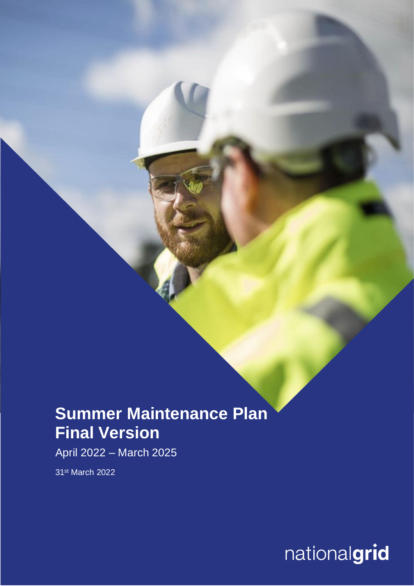## **Summer Maintenance Plan Final Version**

April 2022 – March 2025

31st March 2022

 $\overline{\text{Nationalgrid}}$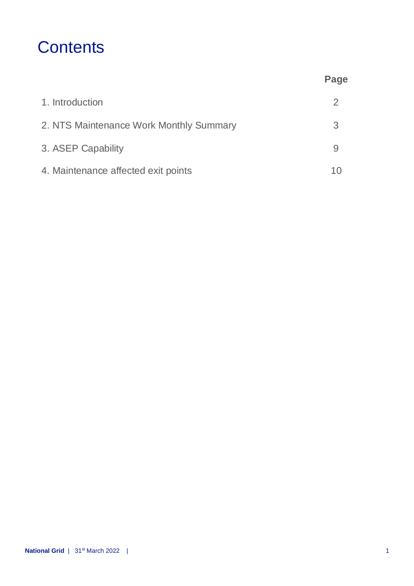## **Contents**

|                                         | Page |
|-----------------------------------------|------|
| 1. Introduction                         | 2    |
| 2. NTS Maintenance Work Monthly Summary | 3    |
| 3. ASEP Capability                      |      |
| 4. Maintenance affected exit points     |      |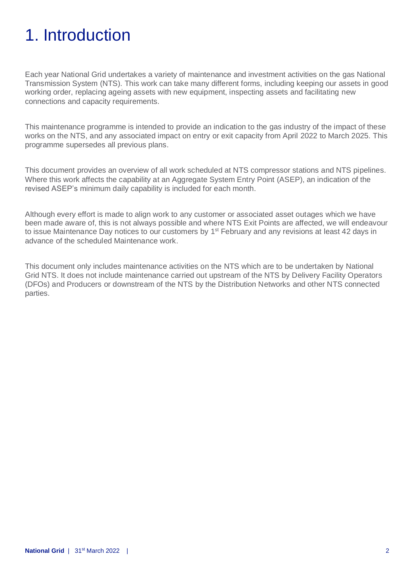## 1. Introduction

Each year National Grid undertakes a variety of maintenance and investment activities on the gas National Transmission System (NTS). This work can take many different forms, including keeping our assets in good working order, replacing ageing assets with new equipment, inspecting assets and facilitating new connections and capacity requirements.

This maintenance programme is intended to provide an indication to the gas industry of the impact of these works on the NTS, and any associated impact on entry or exit capacity from April 2022 to March 2025. This programme supersedes all previous plans.

This document provides an overview of all work scheduled at NTS compressor stations and NTS pipelines. Where this work affects the capability at an Aggregate System Entry Point (ASEP), an indication of the revised ASEP's minimum daily capability is included for each month.

Although every effort is made to align work to any customer or associated asset outages which we have been made aware of, this is not always possible and where NTS Exit Points are affected, we will endeavour to issue Maintenance Day notices to our customers by 1<sup>st</sup> February and any revisions at least 42 days in advance of the scheduled Maintenance work.

This document only includes maintenance activities on the NTS which are to be undertaken by National Grid NTS. It does not include maintenance carried out upstream of the NTS by Delivery Facility Operators (DFOs) and Producers or downstream of the NTS by the Distribution Networks and other NTS connected parties.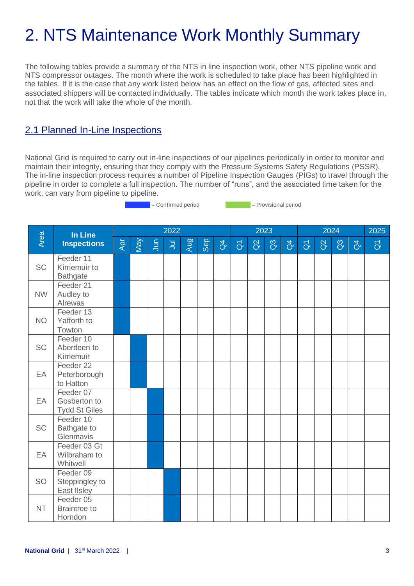# 2. NTS Maintenance Work Monthly Summary

The following tables provide a summary of the NTS in line inspection work, other NTS pipeline work and NTS compressor outages. The month where the work is scheduled to take place has been highlighted in the tables. If it is the case that any work listed below has an effect on the flow of gas, affected sites and associated shippers will be contacted individually. The tables indicate which month the work takes place in, not that the work will take the whole of the month.

### 2.1 Planned In-Line Inspections

National Grid is required to carry out in-line inspections of our pipelines periodically in order to monitor and maintain their integrity, ensuring that they comply with the Pressure Systems Safety Regulations (PSSR). The in-line inspection process requires a number of Pipeline Inspection Gauges (PIGs) to travel through the pipeline in order to complete a full inspection. The number of "runs", and the associated time taken for the work, can vary from pipeline to pipeline.

= Confirmed period = Provisional period

|           | In Line                                           |     |     |        | 2022           |     |            |                |                     |          | 2023           |                |                     |          | 2024           |                | 2025                    |
|-----------|---------------------------------------------------|-----|-----|--------|----------------|-----|------------|----------------|---------------------|----------|----------------|----------------|---------------------|----------|----------------|----------------|-------------------------|
| Area      | <b>Inspections</b>                                | Apr | Vay | $J$ un | $\overline{5}$ | Aug | <b>Gep</b> | $\overline{d}$ | $\overline{\sigma}$ | $\alpha$ | $\overline{a}$ | $\overline{d}$ | $\overline{\sigma}$ | $\alpha$ | $\overline{a}$ | $\overline{d}$ | $\overline{\texttt{o}}$ |
| <b>SC</b> | Feeder 11<br>Kirriemuir to<br><b>Bathgate</b>     |     |     |        |                |     |            |                |                     |          |                |                |                     |          |                |                |                         |
| <b>NW</b> | Feeder 21<br>Audley to<br>Alrewas                 |     |     |        |                |     |            |                |                     |          |                |                |                     |          |                |                |                         |
| <b>NO</b> | Feeder 13<br>Yafforth to<br>Towton                |     |     |        |                |     |            |                |                     |          |                |                |                     |          |                |                |                         |
| <b>SC</b> | Feeder 10<br>Aberdeen to<br>Kirriemuir            |     |     |        |                |     |            |                |                     |          |                |                |                     |          |                |                |                         |
| EA        | Feeder 22<br>Peterborough<br>to Hatton            |     |     |        |                |     |            |                |                     |          |                |                |                     |          |                |                |                         |
| EA        | Feeder 07<br>Gosberton to<br><b>Tydd St Giles</b> |     |     |        |                |     |            |                |                     |          |                |                |                     |          |                |                |                         |
| <b>SC</b> | Feeder 10<br><b>Bathgate to</b><br>Glenmavis      |     |     |        |                |     |            |                |                     |          |                |                |                     |          |                |                |                         |
| EA        | Feeder 03 Gt<br>Wilbraham to<br>Whitwell          |     |     |        |                |     |            |                |                     |          |                |                |                     |          |                |                |                         |
| SO        | Feeder 09<br>Steppingley to<br>East IIsley        |     |     |        |                |     |            |                |                     |          |                |                |                     |          |                |                |                         |
| <b>NT</b> | Feeder 05<br><b>Braintree to</b><br>Horndon       |     |     |        |                |     |            |                |                     |          |                |                |                     |          |                |                |                         |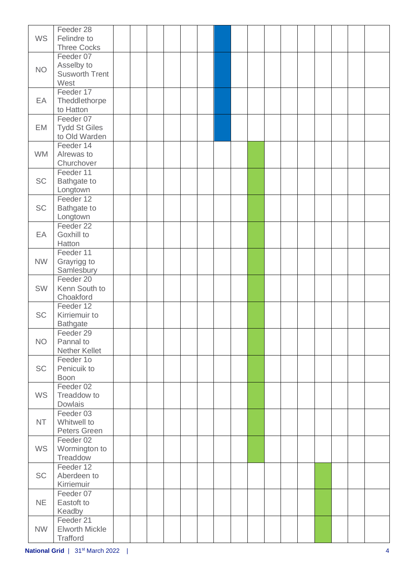| <b>WS</b> | Feeder 28<br>Felindre to<br><b>Three Cocks</b>           |  |  |  |  |  |  |  |  |
|-----------|----------------------------------------------------------|--|--|--|--|--|--|--|--|
| <b>NO</b> | Feeder 07<br>Asselby to<br><b>Susworth Trent</b><br>West |  |  |  |  |  |  |  |  |
| EA        | Feeder 17<br>Theddlethorpe<br>to Hatton                  |  |  |  |  |  |  |  |  |
| EM        | Feeder 07<br><b>Tydd St Giles</b><br>to Old Warden       |  |  |  |  |  |  |  |  |
| <b>WM</b> | Feeder 14<br>Alrewas to<br>Churchover                    |  |  |  |  |  |  |  |  |
| <b>SC</b> | Feeder 11<br><b>Bathgate to</b><br>Longtown              |  |  |  |  |  |  |  |  |
| <b>SC</b> | Feeder 12<br><b>Bathgate to</b><br>Longtown              |  |  |  |  |  |  |  |  |
| EA        | Feeder 22<br>Goxhill to<br>Hatton                        |  |  |  |  |  |  |  |  |
| <b>NW</b> | Feeder 11<br>Grayrigg to<br>Samlesbury                   |  |  |  |  |  |  |  |  |
| SW        | Feeder 20<br>Kenn South to<br>Choakford                  |  |  |  |  |  |  |  |  |
| <b>SC</b> | Feeder 12<br>Kirriemuir to<br><b>Bathgate</b>            |  |  |  |  |  |  |  |  |
| <b>NO</b> | Feeder 29<br>Pannal to<br>Nether Kellet                  |  |  |  |  |  |  |  |  |
| <b>SC</b> | Feeder 1o<br>Penicuik to<br><b>Boon</b>                  |  |  |  |  |  |  |  |  |
| <b>WS</b> | Feeder 02<br>Treaddow to<br>Dowlais                      |  |  |  |  |  |  |  |  |
| <b>NT</b> | Feeder 03<br>Whitwell to<br>Peters Green                 |  |  |  |  |  |  |  |  |
| <b>WS</b> | Feeder 02<br>Wormington to<br>Treaddow                   |  |  |  |  |  |  |  |  |
| <b>SC</b> | Feeder 12<br>Aberdeen to<br>Kirriemuir                   |  |  |  |  |  |  |  |  |
| <b>NE</b> | Feeder 07<br>Eastoft to<br>Keadby                        |  |  |  |  |  |  |  |  |
| <b>NW</b> | Feeder 21<br><b>Elworth Mickle</b><br>Trafford           |  |  |  |  |  |  |  |  |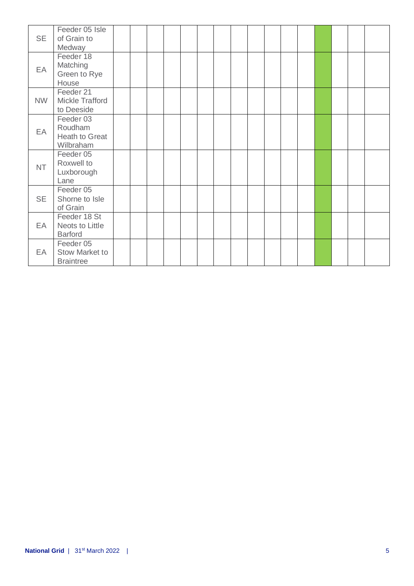| <b>SE</b> | Feeder 05 Isle<br>of Grain to<br>Medway             |  |  |  |  |  |  |  |  |
|-----------|-----------------------------------------------------|--|--|--|--|--|--|--|--|
| EA        | Feeder 18<br>Matching<br>Green to Rye<br>House      |  |  |  |  |  |  |  |  |
| <b>NW</b> | Feeder 21<br>Mickle Trafford<br>to Deeside          |  |  |  |  |  |  |  |  |
| EA        | Feeder 03<br>Roudham<br>Heath to Great<br>Wilbraham |  |  |  |  |  |  |  |  |
| <b>NT</b> | Feeder 05<br>Roxwell to<br>Luxborough<br>Lane       |  |  |  |  |  |  |  |  |
| <b>SE</b> | Feeder 05<br>Shorne to Isle<br>of Grain             |  |  |  |  |  |  |  |  |
| EA        | Feeder 18 St<br>Neots to Little<br><b>Barford</b>   |  |  |  |  |  |  |  |  |
| EA        | Feeder 05<br>Stow Market to<br><b>Braintree</b>     |  |  |  |  |  |  |  |  |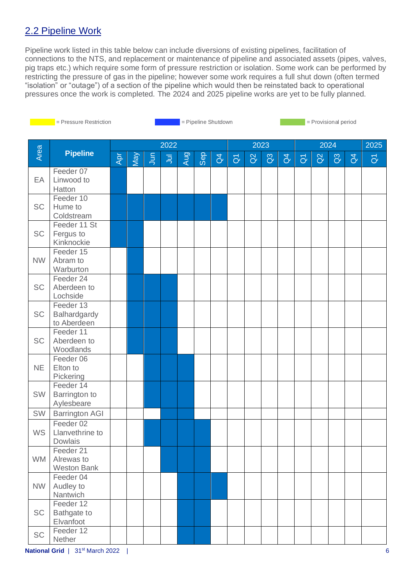### 2.2 Pipeline Work

Pipeline work listed in this table below can include diversions of existing pipelines, facilitation of connections to the NTS, and replacement or maintenance of pipeline and associated assets (pipes, valves, pig traps etc.) which require some form of pressure restriction or isolation. Some work can be performed by restricting the pressure of gas in the pipeline; however some work requires a full shut down (often termed "isolation" or "outage") of a section of the pipeline which would then be reinstated back to operational pressures once the work is completed. The 2024 and 2025 pipeline works are yet to be fully planned.

|           | = Pressure Restriction<br>= Pipeline Shutdown<br>= Provisional period |     |     |            |      |     |            |                |                |          |                |                |                |          |                |                |                         |
|-----------|-----------------------------------------------------------------------|-----|-----|------------|------|-----|------------|----------------|----------------|----------|----------------|----------------|----------------|----------|----------------|----------------|-------------------------|
|           |                                                                       |     |     |            |      |     |            |                |                |          |                |                |                |          |                |                |                         |
| Area      | <b>Pipeline</b>                                                       |     |     |            | 2022 |     |            |                |                |          | 2023           |                |                |          | 2024           |                | 2025                    |
|           |                                                                       | Apr | VeN | <b>Jun</b> | ミ    | Aug | <b>Sep</b> | $\overline{d}$ | $\overline{O}$ | $\alpha$ | $\mathbb{S}^3$ | $\overline{d}$ | $\overline{O}$ | $\Omega$ | $\mathbb{S}^3$ | $\overline{d}$ | $\overline{\mathsf{d}}$ |
|           | Feeder 07                                                             |     |     |            |      |     |            |                |                |          |                |                |                |          |                |                |                         |
| EA        | Linwood to<br>Hatton                                                  |     |     |            |      |     |            |                |                |          |                |                |                |          |                |                |                         |
|           | Feeder 10                                                             |     |     |            |      |     |            |                |                |          |                |                |                |          |                |                |                         |
| <b>SC</b> | Hume to                                                               |     |     |            |      |     |            |                |                |          |                |                |                |          |                |                |                         |
|           | Coldstream                                                            |     |     |            |      |     |            |                |                |          |                |                |                |          |                |                |                         |
| <b>SC</b> | Feeder 11 St                                                          |     |     |            |      |     |            |                |                |          |                |                |                |          |                |                |                         |
|           | Fergus to<br>Kinknockie                                               |     |     |            |      |     |            |                |                |          |                |                |                |          |                |                |                         |
|           | Feeder 15                                                             |     |     |            |      |     |            |                |                |          |                |                |                |          |                |                |                         |
| <b>NW</b> | Abram to                                                              |     |     |            |      |     |            |                |                |          |                |                |                |          |                |                |                         |
|           | Warburton                                                             |     |     |            |      |     |            |                |                |          |                |                |                |          |                |                |                         |
| SC        | Feeder 24<br>Aberdeen to                                              |     |     |            |      |     |            |                |                |          |                |                |                |          |                |                |                         |
|           | Lochside                                                              |     |     |            |      |     |            |                |                |          |                |                |                |          |                |                |                         |
|           | Feeder 13                                                             |     |     |            |      |     |            |                |                |          |                |                |                |          |                |                |                         |
| <b>SC</b> | Balhardgardy                                                          |     |     |            |      |     |            |                |                |          |                |                |                |          |                |                |                         |
|           | to Aberdeen<br>Feeder 11                                              |     |     |            |      |     |            |                |                |          |                |                |                |          |                |                |                         |
| <b>SC</b> | Aberdeen to                                                           |     |     |            |      |     |            |                |                |          |                |                |                |          |                |                |                         |
|           | Woodlands                                                             |     |     |            |      |     |            |                |                |          |                |                |                |          |                |                |                         |
| <b>NE</b> | Feeder 06<br>Elton to                                                 |     |     |            |      |     |            |                |                |          |                |                |                |          |                |                |                         |
|           | Pickering                                                             |     |     |            |      |     |            |                |                |          |                |                |                |          |                |                |                         |
|           | Feeder 14                                                             |     |     |            |      |     |            |                |                |          |                |                |                |          |                |                |                         |
| SW        | Barrington to                                                         |     |     |            |      |     |            |                |                |          |                |                |                |          |                |                |                         |
|           | Aylesbeare                                                            |     |     |            |      |     |            |                |                |          |                |                |                |          |                |                |                         |
| SW        | <b>Barrington AGI</b><br>Feeder 02                                    |     |     |            |      |     |            |                |                |          |                |                |                |          |                |                |                         |
| <b>WS</b> | Llanvethrine to                                                       |     |     |            |      |     |            |                |                |          |                |                |                |          |                |                |                         |
|           | <b>Dowlais</b>                                                        |     |     |            |      |     |            |                |                |          |                |                |                |          |                |                |                         |
|           | Feeder 21                                                             |     |     |            |      |     |            |                |                |          |                |                |                |          |                |                |                         |
| <b>WM</b> | Alrewas to<br><b>Weston Bank</b>                                      |     |     |            |      |     |            |                |                |          |                |                |                |          |                |                |                         |
|           | Feeder 04                                                             |     |     |            |      |     |            |                |                |          |                |                |                |          |                |                |                         |
| <b>NW</b> | Audley to                                                             |     |     |            |      |     |            |                |                |          |                |                |                |          |                |                |                         |
|           | Nantwich                                                              |     |     |            |      |     |            |                |                |          |                |                |                |          |                |                |                         |
|           | Feeder 12                                                             |     |     |            |      |     |            |                |                |          |                |                |                |          |                |                |                         |
| SC        | <b>Bathgate to</b><br>Elvanfoot                                       |     |     |            |      |     |            |                |                |          |                |                |                |          |                |                |                         |
|           | Feeder 12                                                             |     |     |            |      |     |            |                |                |          |                |                |                |          |                |                |                         |
| <b>SC</b> | Nether                                                                |     |     |            |      |     |            |                |                |          |                |                |                |          |                |                |                         |

**National Grid** | 31st March 2022 | 6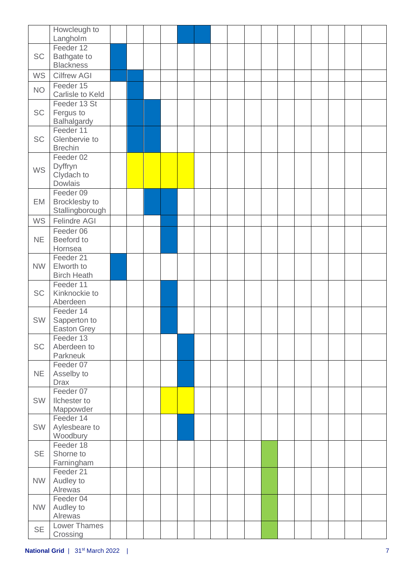|           | Howcleugh to                           |  |  |  |  |  |  |  |  |
|-----------|----------------------------------------|--|--|--|--|--|--|--|--|
|           | Langholm                               |  |  |  |  |  |  |  |  |
|           | Feeder 12                              |  |  |  |  |  |  |  |  |
| <b>SC</b> | Bathgate to                            |  |  |  |  |  |  |  |  |
| <b>WS</b> | <b>Blackness</b><br><b>Cilfrew AGI</b> |  |  |  |  |  |  |  |  |
|           | Feeder 15                              |  |  |  |  |  |  |  |  |
| <b>NO</b> | Carlisle to Keld                       |  |  |  |  |  |  |  |  |
|           | Feeder 13 St                           |  |  |  |  |  |  |  |  |
| SC        | Fergus to                              |  |  |  |  |  |  |  |  |
|           | Balhalgardy                            |  |  |  |  |  |  |  |  |
|           | Feeder 11                              |  |  |  |  |  |  |  |  |
| SC        | Glenbervie to                          |  |  |  |  |  |  |  |  |
|           | <b>Brechin</b>                         |  |  |  |  |  |  |  |  |
|           | Feeder 02                              |  |  |  |  |  |  |  |  |
| <b>WS</b> | Dyffryn<br>Clydach to                  |  |  |  |  |  |  |  |  |
|           | <b>Dowlais</b>                         |  |  |  |  |  |  |  |  |
|           | Feeder 09                              |  |  |  |  |  |  |  |  |
| EM        | Brocklesby to                          |  |  |  |  |  |  |  |  |
|           | Stallingborough                        |  |  |  |  |  |  |  |  |
| <b>WS</b> | Felindre AGI                           |  |  |  |  |  |  |  |  |
|           | Feeder 06                              |  |  |  |  |  |  |  |  |
| <b>NE</b> | Beeford to                             |  |  |  |  |  |  |  |  |
|           | Hornsea                                |  |  |  |  |  |  |  |  |
|           | Feeder 21                              |  |  |  |  |  |  |  |  |
| <b>NW</b> | Elworth to                             |  |  |  |  |  |  |  |  |
|           | <b>Birch Heath</b>                     |  |  |  |  |  |  |  |  |
|           | Feeder 11                              |  |  |  |  |  |  |  |  |
| SC        | Kinknockie to                          |  |  |  |  |  |  |  |  |
|           | Aberdeen<br>Feeder 14                  |  |  |  |  |  |  |  |  |
| SW        | Sapperton to                           |  |  |  |  |  |  |  |  |
|           | <b>Easton Grey</b>                     |  |  |  |  |  |  |  |  |
|           | Feeder 13                              |  |  |  |  |  |  |  |  |
| SC        | Aberdeen to                            |  |  |  |  |  |  |  |  |
|           | Parkneuk                               |  |  |  |  |  |  |  |  |
|           | Feeder 07                              |  |  |  |  |  |  |  |  |
| <b>NE</b> | Asselby to                             |  |  |  |  |  |  |  |  |
|           | <b>Drax</b><br>Feeder 07               |  |  |  |  |  |  |  |  |
| SW        | Ilchester to                           |  |  |  |  |  |  |  |  |
|           | Mappowder                              |  |  |  |  |  |  |  |  |
|           | Feeder 14                              |  |  |  |  |  |  |  |  |
| SW        | Aylesbeare to                          |  |  |  |  |  |  |  |  |
|           | Woodbury                               |  |  |  |  |  |  |  |  |
|           | Feeder 18                              |  |  |  |  |  |  |  |  |
| <b>SE</b> | Shorne to                              |  |  |  |  |  |  |  |  |
|           | Farningham                             |  |  |  |  |  |  |  |  |
|           | Feeder 21                              |  |  |  |  |  |  |  |  |
| <b>NW</b> | Audley to                              |  |  |  |  |  |  |  |  |
|           | Alrewas<br>Feeder 04                   |  |  |  |  |  |  |  |  |
| <b>NW</b> | Audley to                              |  |  |  |  |  |  |  |  |
|           | Alrewas                                |  |  |  |  |  |  |  |  |
|           | <b>Lower Thames</b>                    |  |  |  |  |  |  |  |  |
| <b>SE</b> | Crossing                               |  |  |  |  |  |  |  |  |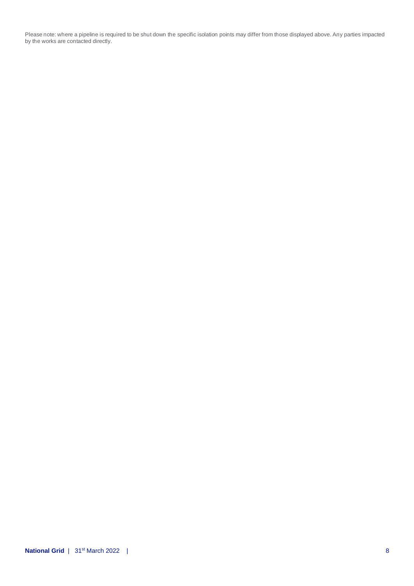Please note: where a pipeline is required to be shut down the specific isolation points may differ from those displayed above. Any parties impacted by the works are contacted directly.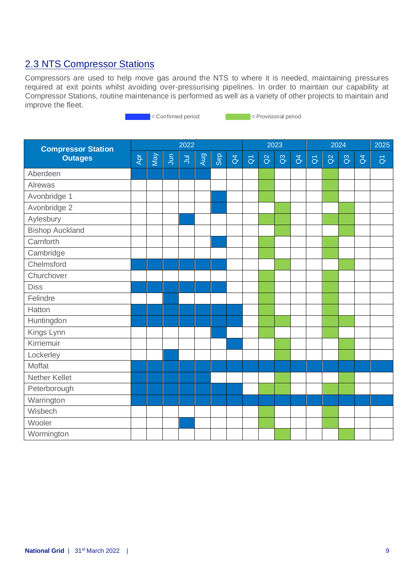### 2.3 NTS Compressor Stations

Compressors are used to help move gas around the NTS to where it is needed, maintaining pressures required at exit points whilst avoiding over-pressurising pipelines. In order to maintain our capability at Compressor Stations, routine maintenance is performed as well as a variety of other projects to maintain and improve the fleet.

= Confirmed period = Provisional period

| <b>Compressor Station</b> |     |     |                | 2022      |     |            |                |                   |          | 2023           |                |                     |          | 2024           |                | 2025                |
|---------------------------|-----|-----|----------------|-----------|-----|------------|----------------|-------------------|----------|----------------|----------------|---------------------|----------|----------------|----------------|---------------------|
| <b>Outages</b>            | Apr | VeW | $\overline{5}$ | $\bar{z}$ | Aug | <b>Sep</b> | $\overline{d}$ | $\overline{\eth}$ | $\alpha$ | $\overline{a}$ | $\overline{d}$ | $\overline{\sigma}$ | $\alpha$ | $\overline{a}$ | $\overline{d}$ | $\overline{\delta}$ |
| Aberdeen                  |     |     |                |           |     |            |                |                   |          |                |                |                     |          |                |                |                     |
| Alrewas                   |     |     |                |           |     |            |                |                   |          |                |                |                     |          |                |                |                     |
| Avonbridge 1              |     |     |                |           |     |            |                |                   |          |                |                |                     |          |                |                |                     |
| Avonbridge 2              |     |     |                |           |     |            |                |                   |          |                |                |                     |          |                |                |                     |
| Aylesbury                 |     |     |                |           |     |            |                |                   |          |                |                |                     |          |                |                |                     |
| <b>Bishop Auckland</b>    |     |     |                |           |     |            |                |                   |          |                |                |                     |          |                |                |                     |
| Carnforth                 |     |     |                |           |     |            |                |                   |          |                |                |                     |          |                |                |                     |
| Cambridge                 |     |     |                |           |     |            |                |                   |          |                |                |                     |          |                |                |                     |
| Chelmsford                |     |     |                |           |     |            |                |                   |          |                |                |                     |          |                |                |                     |
| Churchover                |     |     |                |           |     |            |                |                   |          |                |                |                     |          |                |                |                     |
| <b>Diss</b>               |     |     |                |           |     |            |                |                   |          |                |                |                     |          |                |                |                     |
| Felindre                  |     |     |                |           |     |            |                |                   |          |                |                |                     |          |                |                |                     |
| Hatton                    |     |     |                |           |     |            |                |                   |          |                |                |                     |          |                |                |                     |
| Huntingdon                |     |     |                |           |     |            |                |                   |          |                |                |                     |          |                |                |                     |
| Kings Lynn                |     |     |                |           |     |            |                |                   |          |                |                |                     |          |                |                |                     |
| Kirriemuir                |     |     |                |           |     |            |                |                   |          |                |                |                     |          |                |                |                     |
| Lockerley                 |     |     |                |           |     |            |                |                   |          |                |                |                     |          |                |                |                     |
| Moffat                    |     |     |                |           |     |            |                |                   |          |                |                |                     |          |                |                |                     |
| Nether Kellet             |     |     |                |           |     |            |                |                   |          |                |                |                     |          |                |                |                     |
| Peterborough              |     |     |                |           |     |            |                |                   |          |                |                |                     |          |                |                |                     |
| Warrington                |     |     |                |           |     |            |                |                   |          |                |                |                     |          |                |                |                     |
| Wisbech                   |     |     |                |           |     |            |                |                   |          |                |                |                     |          |                |                |                     |
| Wooler                    |     |     |                |           |     |            |                |                   |          |                |                |                     |          |                |                |                     |
| Wormington                |     |     |                |           |     |            |                |                   |          |                |                |                     |          |                |                |                     |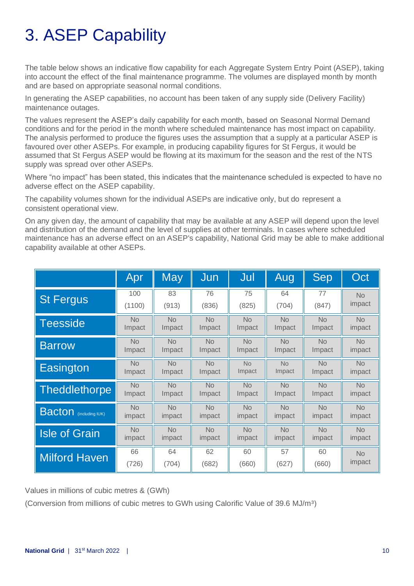# 3. ASEP Capability

The table below shows an indicative flow capability for each Aggregate System Entry Point (ASEP), taking into account the effect of the final maintenance programme. The volumes are displayed month by month and are based on appropriate seasonal normal conditions.

In generating the ASEP capabilities, no account has been taken of any supply side (Delivery Facility) maintenance outages.

The values represent the ASEP's daily capability for each month, based on Seasonal Normal Demand conditions and for the period in the month where scheduled maintenance has most impact on capability. The analysis performed to produce the figures uses the assumption that a supply at a particular ASEP is favoured over other ASEPs. For example, in producing capability figures for St Fergus, it would be assumed that St Fergus ASEP would be flowing at its maximum for the season and the rest of the NTS supply was spread over other ASEPs.

Where "no impact" has been stated, this indicates that the maintenance scheduled is expected to have no adverse effect on the ASEP capability.

The capability volumes shown for the individual ASEPs are indicative only, but do represent a consistent operational view.

On any given day, the amount of capability that may be available at any ASEP will depend upon the level and distribution of the demand and the level of supplies at other terminals. In cases where scheduled maintenance has an adverse effect on an ASEP's capability, National Grid may be able to make additional capability available at other ASEPs.

|                               | Apr       | <b>May</b> | Jun       | Jul       | Aug       | Sep       | Oct       |
|-------------------------------|-----------|------------|-----------|-----------|-----------|-----------|-----------|
| <b>St Fergus</b>              | 100       | 83         | 76        | 75        | 64        | 77        | <b>No</b> |
|                               | (1100)    | (913)      | (836)     | (825)     | (704)     | (847)     | impact    |
| <b>Teesside</b>               | <b>No</b> | <b>No</b>  | <b>No</b> | No        | <b>No</b> | <b>No</b> | <b>No</b> |
|                               | Impact    | Impact     | Impact    | Impact    | Impact    | Impact    | impact    |
| <b>Barrow</b>                 | <b>No</b> | <b>No</b>  | <b>No</b> | <b>No</b> | <b>No</b> | <b>No</b> | <b>No</b> |
|                               | Impact    | Impact     | Impact    | Impact    | Impact    | Impact    | impact    |
| Easington                     | <b>No</b> | <b>No</b>  | <b>No</b> | <b>No</b> | <b>No</b> | <b>No</b> | <b>No</b> |
|                               | Impact    | Impact     | Impact    | Impact    | Impact    | Impact    | impact    |
| <b>Theddlethorpe</b>          | <b>No</b> | <b>No</b>  | <b>No</b> | <b>No</b> | <b>No</b> | <b>No</b> | <b>No</b> |
|                               | Impact    | Impact     | Impact    | Impact    | Impact    | Impact    | impact    |
| <b>Bacton</b> (including IUK) | <b>No</b> | <b>No</b>  | <b>No</b> | <b>No</b> | <b>No</b> | <b>No</b> | <b>No</b> |
|                               | impact    | impact     | impact    | impact    | impact    | impact    | impact    |
| <b>Isle of Grain</b>          | <b>No</b> | <b>No</b>  | <b>No</b> | <b>No</b> | <b>No</b> | <b>No</b> | <b>No</b> |
|                               | impact    | impact     | impact    | impact    | impact    | impact    | impact    |
| <b>Milford Haven</b>          | 66        | 64         | 62        | 60        | 57        | 60        | <b>No</b> |
|                               | (726)     | (704)      | (682)     | (660)     | (627)     | (660)     | impact    |

Values in millions of cubic metres & (GWh)

(Conversion from millions of cubic metres to GWh using Calorific Value of 39.6 MJ/m³)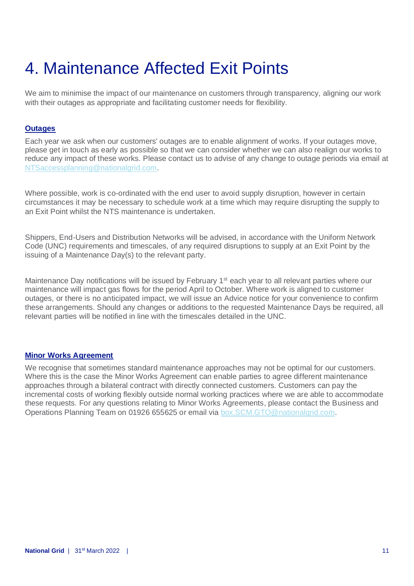# 4. Maintenance Affected Exit Points

We aim to minimise the impact of our maintenance on customers through transparency, aligning our work with their outages as appropriate and facilitating customer needs for flexibility.

#### **Outages**

Each year we ask when our customers' outages are to enable alignment of works. If your outages move, please get in touch as early as possible so that we can consider whether we can also realign our works to reduce any impact of these works. Please contact us to advise of any change to outage periods via email at [NTSaccessplanning@nationalgrid.com.](mailto:NTSaccessplanning@nationalgrid.com)

Where possible, work is co-ordinated with the end user to avoid supply disruption, however in certain circumstances it may be necessary to schedule work at a time which may require disrupting the supply to an Exit Point whilst the NTS maintenance is undertaken.

Shippers, End-Users and Distribution Networks will be advised, in accordance with the Uniform Network Code (UNC) requirements and timescales, of any required disruptions to supply at an Exit Point by the issuing of a Maintenance Day(s) to the relevant party.

Maintenance Day notifications will be issued by February  $1<sup>st</sup>$  each year to all relevant parties where our maintenance will impact gas flows for the period April to October. Where work is aligned to customer outages, or there is no anticipated impact, we will issue an Advice notice for your convenience to confirm these arrangements. Should any changes or additions to the requested Maintenance Days be required, all relevant parties will be notified in line with the timescales detailed in the UNC.

#### **Minor Works Agreement**

We recognise that sometimes standard maintenance approaches may not be optimal for our customers. Where this is the case the Minor Works Agreement can enable parties to agree different maintenance approaches through a bilateral contract with directly connected customers. Customers can pay the incremental costs of working flexibly outside normal working practices where we are able to accommodate these requests. For any questions relating to Minor Works Agreements, please contact the Business and Operations Planning Team on 01926 655625 or email via [box.SCM.GTO@nationalgrid.com.](mailto:box.SCM.GTO@nationalgrid.com)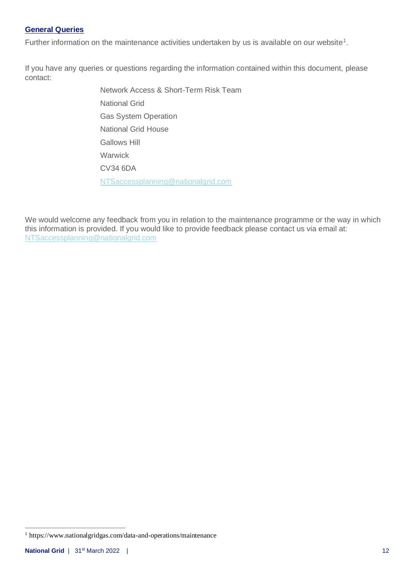#### **General Queries**

Further information on the maintenance activities undertaken by us is available on our website<sup>1</sup>.

If you have any queries or questions regarding the information contained within this document, please contact:

> Network Access & Short-Term Risk Team National Grid Gas System Operation National Grid House Gallows Hill **Warwick** CV34 6DA [NTSaccessplanning@nationalgrid.com](mailto:NTSaccessplanning@nationalgrid.com)

We would welcome any feedback from you in relation to the maintenance programme or the way in which this information is provided. If you would like to provide feedback please contact us via email at: [NTSaccessplanning@nationalgrid.com](mailto:NTSaccessplanning@nationalgrid.com)

<sup>1</sup> https://www.nationalgridgas.com/data-and-operations/maintenance